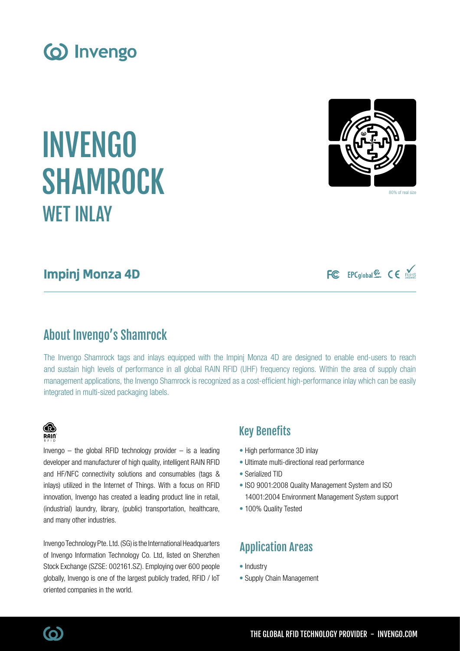

INVENGO

# Impinj Monza 4D

WET INLAY

SHAMROCK

# About Invengo's Shamrock

The Invengo Shamrock tags and inlays equipped with the Impinj Monza 4D are designed to enable end-users to reach and sustain high levels of performance in all global RAIN RFID (UHF) frequency regions. Within the area of supply chain management applications, the Invengo Shamrock is recognized as a cost-efficient high-performance inlay which can be easily integrated in multi-sized packaging labels.

### Key Benefits

- High performance 3D inlay
- Ultimate multi-directional read performance
- Serialized TID
- ISO 9001:2008 Quality Management System and ISO 14001:2004 Environment Management System support
- 100% Quality Tested

# Application Areas

- Industry
- Supply Chain Management





and many other industries.

oriented companies in the world.

and HF/NFC connectivity solutions and consumables (tags & inlays) utilized in the Internet of Things. With a focus on RFID innovation, Invengo has created a leading product line in retail, (industrial) laundry, library, (public) transportation, healthcare,

Invengo Technology Pte. Ltd. (SG) is the International Headquarters of Invengo Information Technology Co. Ltd, listed on Shenzhen Stock Exchange (SZSE: 002161.SZ). Employing over 600 people globally, Invengo is one of the largest publicly traded, RFID / IoT